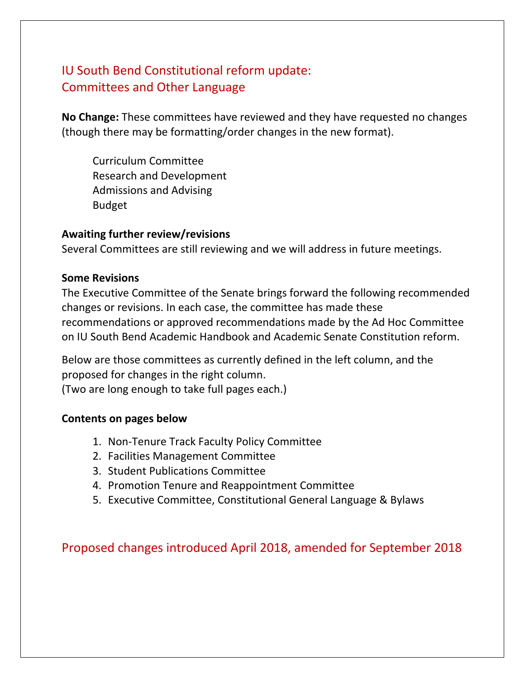# IU South Bend Constitutional reform update: Committees and Other Language

**No Change:** These committees have reviewed and they have requested no changes (though there may be formatting/order changes in the new format).

Curriculum Committee Research and Development Admissions and Advising Budget

## **Awaiting further review/revisions**

Several Committees are still reviewing and we will address in future meetings.

## **Some Revisions**

The Executive Committee of the Senate brings forward the following recommended changes or revisions. In each case, the committee has made these recommendations or approved recommendations made by the Ad Hoc Committee on IU South Bend Academic Handbook and Academic Senate Constitution reform.

Below are those committees as currently defined in the left column, and the proposed for changes in the right column. (Two are long enough to take full pages each.)

## **Contents on pages below**

- 1. Non-Tenure Track Faculty Policy Committee
- 2. Facilities Management Committee
- 3. Student Publications Committee
- 4. Promotion Tenure and Reappointment Committee
- 5. Executive Committee, Constitutional General Language & Bylaws

Proposed changes introduced April 2018, amended for September 2018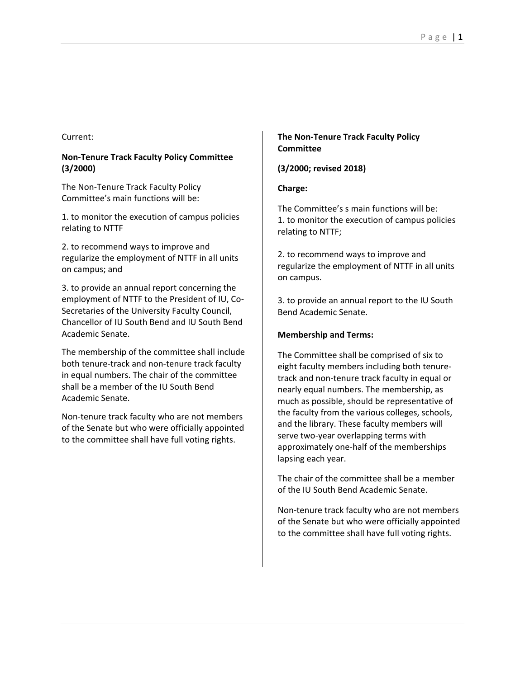## **Non-Tenure Track Faculty Policy Committee (3/2000)**

The Non-Tenure Track Faculty Policy Committee's main functions will be:

1. to monitor the execution of campus policies relating to NTTF

2. to recommend ways to improve and regularize the employment of NTTF in all units on campus; and

3. to provide an annual report concerning the employment of NTTF to the President of IU, Co-Secretaries of the University Faculty Council, Chancellor of IU South Bend and IU South Bend Academic Senate.

The membership of the committee shall include both tenure-track and non-tenure track faculty in equal numbers. The chair of the committee shall be a member of the IU South Bend Academic Senate.

Non-tenure track faculty who are not members of the Senate but who were officially appointed to the committee shall have full voting rights.

## **The Non-Tenure Track Faculty Policy Committee**

**(3/2000; revised 2018)**

## **Charge:**

The Committee's s main functions will be: 1. to monitor the execution of campus policies relating to NTTF;

2. to recommend ways to improve and regularize the employment of NTTF in all units on campus.

3. to provide an annual report to the IU South Bend Academic Senate.

## **Membership and Terms:**

The Committee shall be comprised of six to eight faculty members including both tenuretrack and non-tenure track faculty in equal or nearly equal numbers. The membership, as much as possible, should be representative of the faculty from the various colleges, schools, and the library. These faculty members will serve two-year overlapping terms with approximately one-half of the memberships lapsing each year.

The chair of the committee shall be a member of the IU South Bend Academic Senate.

Non-tenure track faculty who are not members of the Senate but who were officially appointed to the committee shall have full voting rights.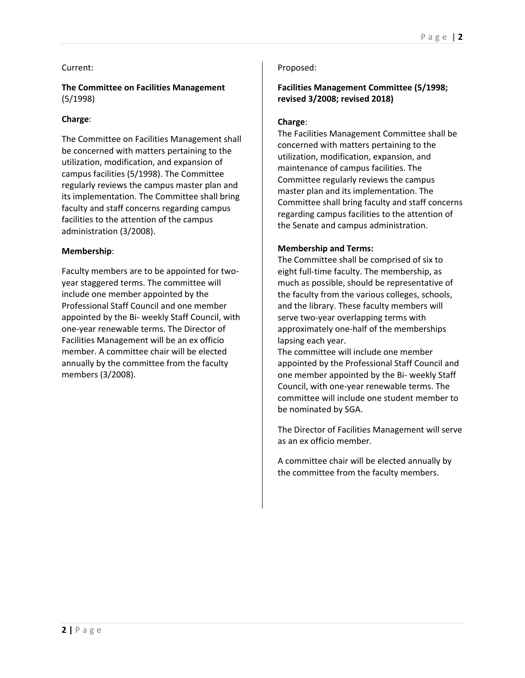## **The Committee on Facilities Management** (5/1998)

## **Charge**:

The Committee on Facilities Management shall be concerned with matters pertaining to the utilization, modification, and expansion of campus facilities (5/1998). The Committee regularly reviews the campus master plan and its implementation. The Committee shall bring faculty and staff concerns regarding campus facilities to the attention of the campus administration (3/2008).

## **Membership**:

Faculty members are to be appointed for twoyear staggered terms. The committee will include one member appointed by the Professional Staff Council and one member appointed by the Bi- weekly Staff Council, with one-year renewable terms. The Director of Facilities Management will be an ex officio member. A committee chair will be elected annually by the committee from the faculty members (3/2008).

## Proposed:

## **Facilities Management Committee (5/1998; revised 3/2008; revised 2018)**

## **Charge**:

The Facilities Management Committee shall be concerned with matters pertaining to the utilization, modification, expansion, and maintenance of campus facilities. The Committee regularly reviews the campus master plan and its implementation. The Committee shall bring faculty and staff concerns regarding campus facilities to the attention of the Senate and campus administration.

## **Membership and Terms:**

The Committee shall be comprised of six to eight full-time faculty. The membership, as much as possible, should be representative of the faculty from the various colleges, schools, and the library. These faculty members will serve two-year overlapping terms with approximately one-half of the memberships lapsing each year.

The committee will include one member appointed by the Professional Staff Council and one member appointed by the Bi- weekly Staff Council, with one-year renewable terms. The committee will include one student member to be nominated by SGA.

The Director of Facilities Management will serve as an ex officio member.

A committee chair will be elected annually by the committee from the faculty members.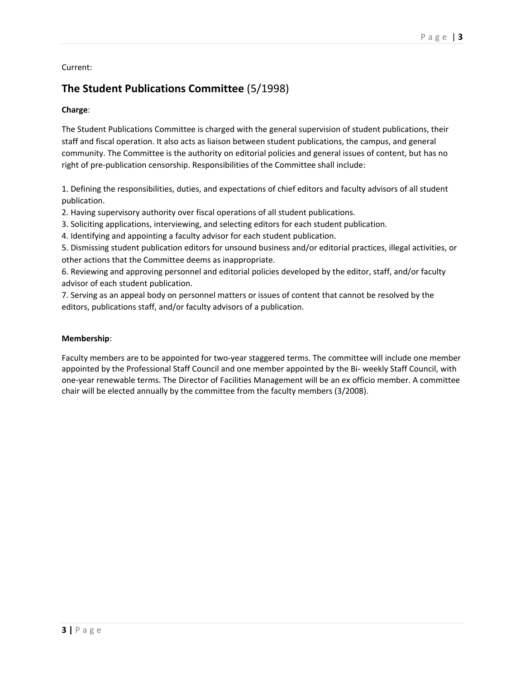## **The Student Publications Committee** (5/1998)

## **Charge**:

The Student Publications Committee is charged with the general supervision of student publications, their staff and fiscal operation. It also acts as liaison between student publications, the campus, and general community. The Committee is the authority on editorial policies and general issues of content, but has no right of pre-publication censorship. Responsibilities of the Committee shall include:

1. Defining the responsibilities, duties, and expectations of chief editors and faculty advisors of all student publication.

2. Having supervisory authority over fiscal operations of all student publications.

3. Soliciting applications, interviewing, and selecting editors for each student publication.

4. Identifying and appointing a faculty advisor for each student publication.

5. Dismissing student publication editors for unsound business and/or editorial practices, illegal activities, or other actions that the Committee deems as inappropriate.

6. Reviewing and approving personnel and editorial policies developed by the editor, staff, and/or faculty advisor of each student publication.

7. Serving as an appeal body on personnel matters or issues of content that cannot be resolved by the editors, publications staff, and/or faculty advisors of a publication.

## **Membership**:

Faculty members are to be appointed for two-year staggered terms. The committee will include one member appointed by the Professional Staff Council and one member appointed by the Bi- weekly Staff Council, with one-year renewable terms. The Director of Facilities Management will be an ex officio member. A committee chair will be elected annually by the committee from the faculty members (3/2008).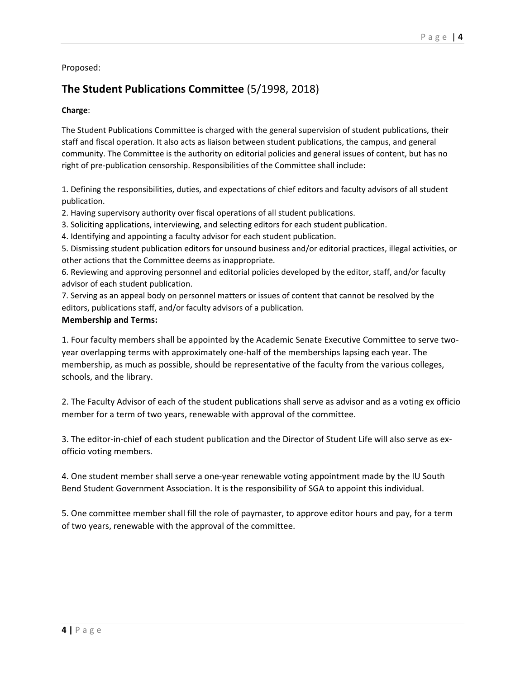Proposed:

## **The Student Publications Committee** (5/1998, 2018)

## **Charge**:

The Student Publications Committee is charged with the general supervision of student publications, their staff and fiscal operation. It also acts as liaison between student publications, the campus, and general community. The Committee is the authority on editorial policies and general issues of content, but has no right of pre-publication censorship. Responsibilities of the Committee shall include:

1. Defining the responsibilities, duties, and expectations of chief editors and faculty advisors of all student publication.

2. Having supervisory authority over fiscal operations of all student publications.

3. Soliciting applications, interviewing, and selecting editors for each student publication.

4. Identifying and appointing a faculty advisor for each student publication.

5. Dismissing student publication editors for unsound business and/or editorial practices, illegal activities, or other actions that the Committee deems as inappropriate.

6. Reviewing and approving personnel and editorial policies developed by the editor, staff, and/or faculty advisor of each student publication.

7. Serving as an appeal body on personnel matters or issues of content that cannot be resolved by the editors, publications staff, and/or faculty advisors of a publication.

## **Membership and Terms:**

1. Four faculty members shall be appointed by the Academic Senate Executive Committee to serve twoyear overlapping terms with approximately one-half of the memberships lapsing each year. The membership, as much as possible, should be representative of the faculty from the various colleges, schools, and the library.

2. The Faculty Advisor of each of the student publications shall serve as advisor and as a voting ex officio member for a term of two years, renewable with approval of the committee.

3. The editor-in-chief of each student publication and the Director of Student Life will also serve as exofficio voting members.

4. One student member shall serve a one-year renewable voting appointment made by the IU South Bend Student Government Association. It is the responsibility of SGA to appoint this individual.

5. One committee member shall fill the role of paymaster, to approve editor hours and pay, for a term of two years, renewable with the approval of the committee.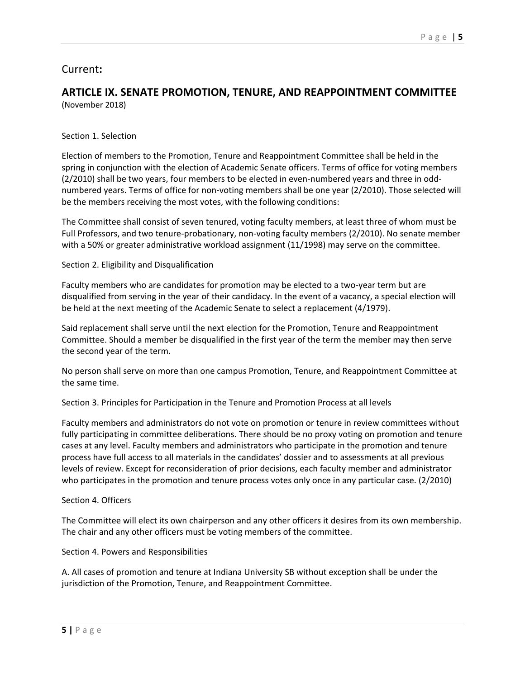## **ARTICLE IX. SENATE PROMOTION, TENURE, AND REAPPOINTMENT COMMITTEE** (November 2018)

## Section 1. Selection

Election of members to the Promotion, Tenure and Reappointment Committee shall be held in the spring in conjunction with the election of Academic Senate officers. Terms of office for voting members (2/2010) shall be two years, four members to be elected in even-numbered years and three in oddnumbered years. Terms of office for non-voting members shall be one year (2/2010). Those selected will be the members receiving the most votes, with the following conditions:

The Committee shall consist of seven tenured, voting faculty members, at least three of whom must be Full Professors, and two tenure-probationary, non-voting faculty members (2/2010). No senate member with a 50% or greater administrative workload assignment (11/1998) may serve on the committee.

## Section 2. Eligibility and Disqualification

Faculty members who are candidates for promotion may be elected to a two-year term but are disqualified from serving in the year of their candidacy. In the event of a vacancy, a special election will be held at the next meeting of the Academic Senate to select a replacement (4/1979).

Said replacement shall serve until the next election for the Promotion, Tenure and Reappointment Committee. Should a member be disqualified in the first year of the term the member may then serve the second year of the term.

No person shall serve on more than one campus Promotion, Tenure, and Reappointment Committee at the same time.

Section 3. Principles for Participation in the Tenure and Promotion Process at all levels

Faculty members and administrators do not vote on promotion or tenure in review committees without fully participating in committee deliberations. There should be no proxy voting on promotion and tenure cases at any level. Faculty members and administrators who participate in the promotion and tenure process have full access to all materials in the candidates' dossier and to assessments at all previous levels of review. Except for reconsideration of prior decisions, each faculty member and administrator who participates in the promotion and tenure process votes only once in any particular case. (2/2010)

## Section 4. Officers

The Committee will elect its own chairperson and any other officers it desires from its own membership. The chair and any other officers must be voting members of the committee.

Section 4. Powers and Responsibilities

A. All cases of promotion and tenure at Indiana University SB without exception shall be under the jurisdiction of the Promotion, Tenure, and Reappointment Committee.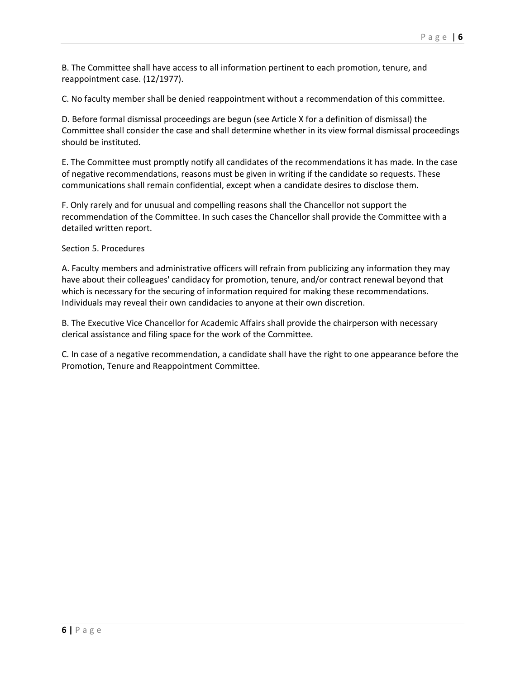B. The Committee shall have access to all information pertinent to each promotion, tenure, and reappointment case. (12/1977).

C. No faculty member shall be denied reappointment without a recommendation of this committee.

D. Before formal dismissal proceedings are begun (see Article X for a definition of dismissal) the Committee shall consider the case and shall determine whether in its view formal dismissal proceedings should be instituted.

E. The Committee must promptly notify all candidates of the recommendations it has made. In the case of negative recommendations, reasons must be given in writing if the candidate so requests. These communications shall remain confidential, except when a candidate desires to disclose them.

F. Only rarely and for unusual and compelling reasons shall the Chancellor not support the recommendation of the Committee. In such cases the Chancellor shall provide the Committee with a detailed written report.

## Section 5. Procedures

A. Faculty members and administrative officers will refrain from publicizing any information they may have about their colleagues' candidacy for promotion, tenure, and/or contract renewal beyond that which is necessary for the securing of information required for making these recommendations. Individuals may reveal their own candidacies to anyone at their own discretion.

B. The Executive Vice Chancellor for Academic Affairs shall provide the chairperson with necessary clerical assistance and filing space for the work of the Committee.

C. In case of a negative recommendation, a candidate shall have the right to one appearance before the Promotion, Tenure and Reappointment Committee.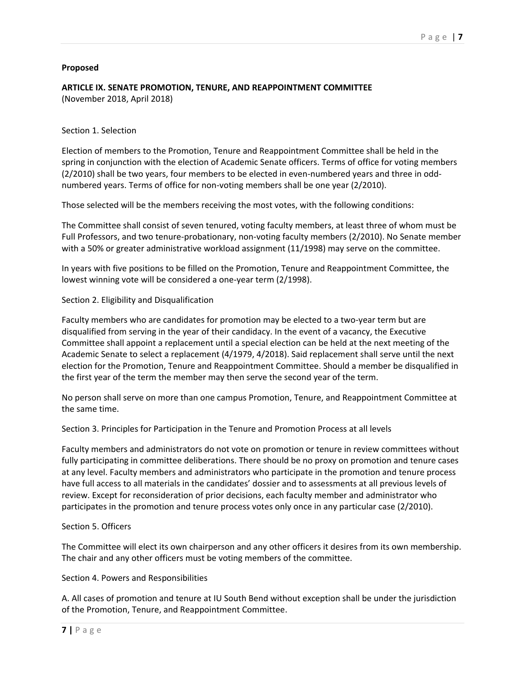## **Proposed**

## **ARTICLE IX. SENATE PROMOTION, TENURE, AND REAPPOINTMENT COMMITTEE**  (November 2018, April 2018)

#### Section 1. Selection

Election of members to the Promotion, Tenure and Reappointment Committee shall be held in the spring in conjunction with the election of Academic Senate officers. Terms of office for voting members (2/2010) shall be two years, four members to be elected in even-numbered years and three in oddnumbered years. Terms of office for non-voting members shall be one year (2/2010).

Those selected will be the members receiving the most votes, with the following conditions:

The Committee shall consist of seven tenured, voting faculty members, at least three of whom must be Full Professors, and two tenure-probationary, non-voting faculty members (2/2010). No Senate member with a 50% or greater administrative workload assignment (11/1998) may serve on the committee.

In years with five positions to be filled on the Promotion, Tenure and Reappointment Committee, the lowest winning vote will be considered a one-year term (2/1998).

#### Section 2. Eligibility and Disqualification

Faculty members who are candidates for promotion may be elected to a two-year term but are disqualified from serving in the year of their candidacy. In the event of a vacancy, the Executive Committee shall appoint a replacement until a special election can be held at the next meeting of the Academic Senate to select a replacement (4/1979, 4/2018). Said replacement shall serve until the next election for the Promotion, Tenure and Reappointment Committee. Should a member be disqualified in the first year of the term the member may then serve the second year of the term.

No person shall serve on more than one campus Promotion, Tenure, and Reappointment Committee at the same time.

Section 3. Principles for Participation in the Tenure and Promotion Process at all levels

Faculty members and administrators do not vote on promotion or tenure in review committees without fully participating in committee deliberations. There should be no proxy on promotion and tenure cases at any level. Faculty members and administrators who participate in the promotion and tenure process have full access to all materials in the candidates' dossier and to assessments at all previous levels of review. Except for reconsideration of prior decisions, each faculty member and administrator who participates in the promotion and tenure process votes only once in any particular case (2/2010).

## Section 5. Officers

The Committee will elect its own chairperson and any other officers it desires from its own membership. The chair and any other officers must be voting members of the committee.

## Section 4. Powers and Responsibilities

A. All cases of promotion and tenure at IU South Bend without exception shall be under the jurisdiction of the Promotion, Tenure, and Reappointment Committee.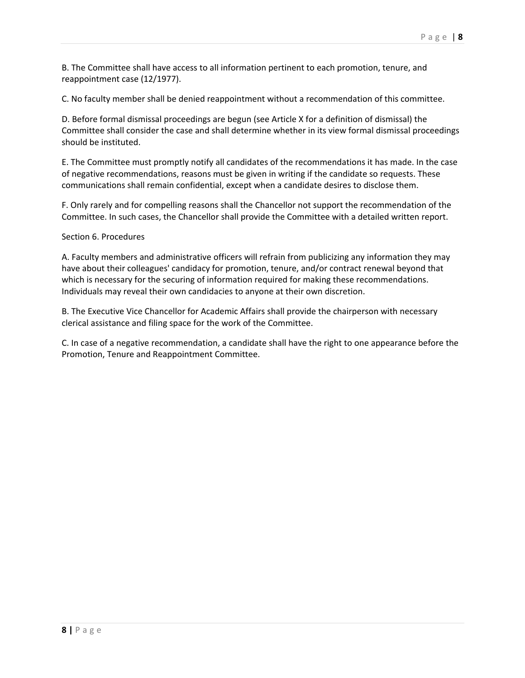B. The Committee shall have access to all information pertinent to each promotion, tenure, and reappointment case (12/1977).

C. No faculty member shall be denied reappointment without a recommendation of this committee.

D. Before formal dismissal proceedings are begun (see Article X for a definition of dismissal) the Committee shall consider the case and shall determine whether in its view formal dismissal proceedings should be instituted.

E. The Committee must promptly notify all candidates of the recommendations it has made. In the case of negative recommendations, reasons must be given in writing if the candidate so requests. These communications shall remain confidential, except when a candidate desires to disclose them.

F. Only rarely and for compelling reasons shall the Chancellor not support the recommendation of the Committee. In such cases, the Chancellor shall provide the Committee with a detailed written report.

## Section 6. Procedures

A. Faculty members and administrative officers will refrain from publicizing any information they may have about their colleagues' candidacy for promotion, tenure, and/or contract renewal beyond that which is necessary for the securing of information required for making these recommendations. Individuals may reveal their own candidacies to anyone at their own discretion.

B. The Executive Vice Chancellor for Academic Affairs shall provide the chairperson with necessary clerical assistance and filing space for the work of the Committee.

C. In case of a negative recommendation, a candidate shall have the right to one appearance before the Promotion, Tenure and Reappointment Committee.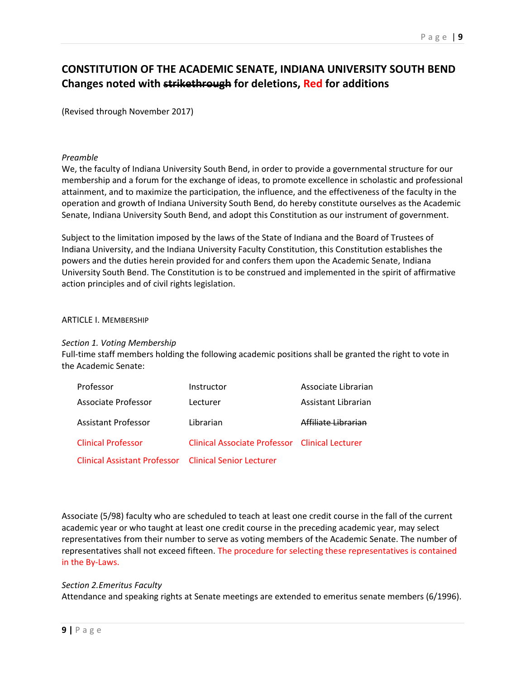## **CONSTITUTION OF THE ACADEMIC SENATE, INDIANA UNIVERSITY SOUTH BEND Changes noted with strikethrough for deletions, Red for additions**

(Revised through November 2017)

#### *Preamble*

We, the faculty of Indiana University South Bend, in order to provide a governmental structure for our membership and a forum for the exchange of ideas, to promote excellence in scholastic and professional attainment, and to maximize the participation, the influence, and the effectiveness of the faculty in the operation and growth of Indiana University South Bend, do hereby constitute ourselves as the Academic Senate, Indiana University South Bend, and adopt this Constitution as our instrument of government.

Subject to the limitation imposed by the laws of the State of Indiana and the Board of Trustees of Indiana University, and the Indiana University Faculty Constitution, this Constitution establishes the powers and the duties herein provided for and confers them upon the Academic Senate, Indiana University South Bend. The Constitution is to be construed and implemented in the spirit of affirmative action principles and of civil rights legislation.

#### ARTICLE I. MEMBERSHIP

#### *Section 1. Voting Membership*

Full-time staff members holding the following academic positions shall be granted the right to vote in the Academic Senate:

| Professor                                             | Instructor                                     | Associate Librarian |
|-------------------------------------------------------|------------------------------------------------|---------------------|
| Associate Professor                                   | Lecturer                                       | Assistant Librarian |
| <b>Assistant Professor</b>                            | Librarian                                      | Affiliate Librarian |
| <b>Clinical Professor</b>                             | Clinical Associate Professor Clinical Lecturer |                     |
| Clinical Assistant Professor Clinical Senior Lecturer |                                                |                     |

Associate (5/98) faculty who are scheduled to teach at least one credit course in the fall of the current academic year or who taught at least one credit course in the preceding academic year, may select representatives from their number to serve as voting members of the Academic Senate. The number of representatives shall not exceed fifteen. The procedure for selecting these representatives is contained in the By-Laws.

#### *Section 2.Emeritus Faculty*

Attendance and speaking rights at Senate meetings are extended to emeritus senate members (6/1996).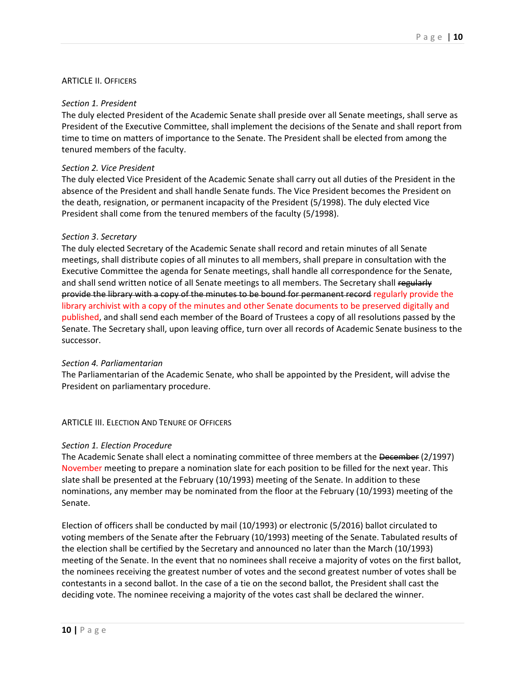#### ARTICLE II. OFFICERS

#### *Section 1. President*

The duly elected President of the Academic Senate shall preside over all Senate meetings, shall serve as President of the Executive Committee, shall implement the decisions of the Senate and shall report from time to time on matters of importance to the Senate. The President shall be elected from among the tenured members of the faculty.

#### *Section 2. Vice President*

The duly elected Vice President of the Academic Senate shall carry out all duties of the President in the absence of the President and shall handle Senate funds. The Vice President becomes the President on the death, resignation, or permanent incapacity of the President (5/1998). The duly elected Vice President shall come from the tenured members of the faculty (5/1998).

#### *Section 3*. *Secretary*

The duly elected Secretary of the Academic Senate shall record and retain minutes of all Senate meetings, shall distribute copies of all minutes to all members, shall prepare in consultation with the Executive Committee the agenda for Senate meetings, shall handle all correspondence for the Senate, and shall send written notice of all Senate meetings to all members. The Secretary shall regularly provide the library with a copy of the minutes to be bound for permanent record regularly provide the library archivist with a copy of the minutes and other Senate documents to be preserved digitally and published, and shall send each member of the Board of Trustees a copy of all resolutions passed by the Senate. The Secretary shall, upon leaving office, turn over all records of Academic Senate business to the successor.

#### *Section 4. Parliamentarian*

The Parliamentarian of the Academic Senate, who shall be appointed by the President, will advise the President on parliamentary procedure.

ARTICLE III. ELECTION AND TENURE OF OFFICERS

#### *Section 1. Election Procedure*

The Academic Senate shall elect a nominating committee of three members at the December (2/1997) November meeting to prepare a nomination slate for each position to be filled for the next year. This slate shall be presented at the February (10/1993) meeting of the Senate. In addition to these nominations, any member may be nominated from the floor at the February (10/1993) meeting of the Senate.

Election of officers shall be conducted by mail (10/1993) or electronic (5/2016) ballot circulated to voting members of the Senate after the February (10/1993) meeting of the Senate. Tabulated results of the election shall be certified by the Secretary and announced no later than the March (10/1993) meeting of the Senate. In the event that no nominees shall receive a majority of votes on the first ballot, the nominees receiving the greatest number of votes and the second greatest number of votes shall be contestants in a second ballot. In the case of a tie on the second ballot, the President shall cast the deciding vote. The nominee receiving a majority of the votes cast shall be declared the winner.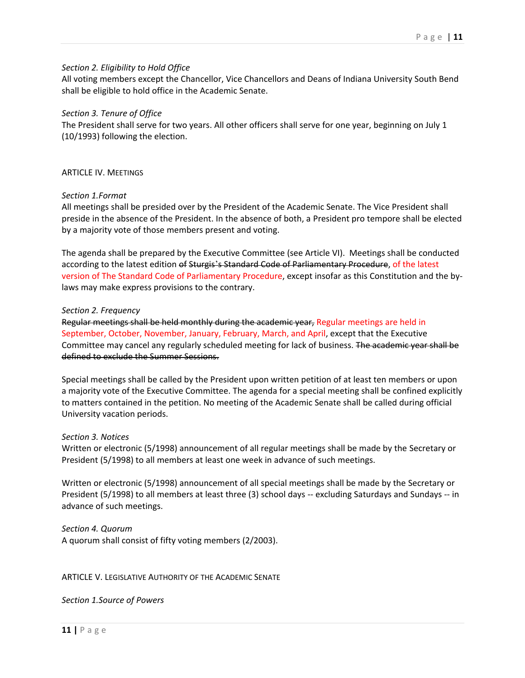#### *Section 2. Eligibility to Hold Office*

All voting members except the Chancellor, Vice Chancellors and Deans of Indiana University South Bend shall be eligible to hold office in the Academic Senate.

#### *Section 3. Tenure of Office*

The President shall serve for two years. All other officers shall serve for one year, beginning on July 1 (10/1993) following the election.

#### ARTICLE IV. MEETINGS

#### *Section 1.Format*

All meetings shall be presided over by the President of the Academic Senate. The Vice President shall preside in the absence of the President. In the absence of both, a President pro tempore shall be elected by a majority vote of those members present and voting.

The agenda shall be prepared by the Executive Committee (see Article VI). Meetings shall be conducted according to the latest edition of Sturgis's Standard Code of Parliamentary Procedure, of the latest version of The Standard Code of Parliamentary Procedure, except insofar as this Constitution and the bylaws may make express provisions to the contrary.

#### *Section 2. Frequency*

Regular meetings shall be held monthly during the academic year, Regular meetings are held in September, October, November, January, February, March, and April, except that the Executive Committee may cancel any regularly scheduled meeting for lack of business. The academic year shall be defined to exclude the Summer Sessions.

Special meetings shall be called by the President upon written petition of at least ten members or upon a majority vote of the Executive Committee. The agenda for a special meeting shall be confined explicitly to matters contained in the petition. No meeting of the Academic Senate shall be called during official University vacation periods.

#### *Section 3. Notices*

Written or electronic (5/1998) announcement of all regular meetings shall be made by the Secretary or President (5/1998) to all members at least one week in advance of such meetings.

Written or electronic (5/1998) announcement of all special meetings shall be made by the Secretary or President (5/1998) to all members at least three (3) school days -- excluding Saturdays and Sundays -- in advance of such meetings.

## *Section 4. Quorum* A quorum shall consist of fifty voting members (2/2003).

#### ARTICLE V. LEGISLATIVE AUTHORITY OF THE ACADEMIC SENATE

*Section 1.Source of Powers*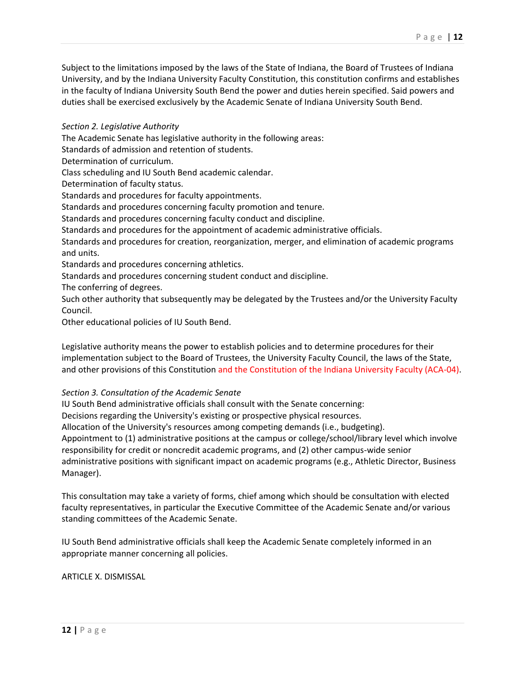Subject to the limitations imposed by the laws of the State of Indiana, the Board of Trustees of Indiana University, and by the Indiana University Faculty Constitution, this constitution confirms and establishes in the faculty of Indiana University South Bend the power and duties herein specified. Said powers and duties shall be exercised exclusively by the Academic Senate of Indiana University South Bend.

## *Section 2. Legislative Authority*

The Academic Senate has legislative authority in the following areas:

Standards of admission and retention of students.

Determination of curriculum.

Class scheduling and IU South Bend academic calendar.

Determination of faculty status.

Standards and procedures for faculty appointments.

Standards and procedures concerning faculty promotion and tenure.

Standards and procedures concerning faculty conduct and discipline.

Standards and procedures for the appointment of academic administrative officials.

Standards and procedures for creation, reorganization, merger, and elimination of academic programs and units.

Standards and procedures concerning athletics.

Standards and procedures concerning student conduct and discipline.

The conferring of degrees.

Such other authority that subsequently may be delegated by the Trustees and/or the University Faculty Council.

Other educational policies of IU South Bend.

Legislative authority means the power to establish policies and to determine procedures for their implementation subject to the Board of Trustees, the University Faculty Council, the laws of the State, and other provisions of this Constitution and the Constitution of the Indiana University Faculty (ACA-04).

## *Section 3. Consultation of the Academic Senate*

IU South Bend administrative officials shall consult with the Senate concerning:

Decisions regarding the University's existing or prospective physical resources.

Allocation of the University's resources among competing demands (i.e., budgeting).

Appointment to (1) administrative positions at the campus or college/school/library level which involve responsibility for credit or noncredit academic programs, and (2) other campus-wide senior administrative positions with significant impact on academic programs (e.g., Athletic Director, Business Manager).

This consultation may take a variety of forms, chief among which should be consultation with elected faculty representatives, in particular the Executive Committee of the Academic Senate and/or various standing committees of the Academic Senate.

IU South Bend administrative officials shall keep the Academic Senate completely informed in an appropriate manner concerning all policies.

ARTICLE X. DISMISSAL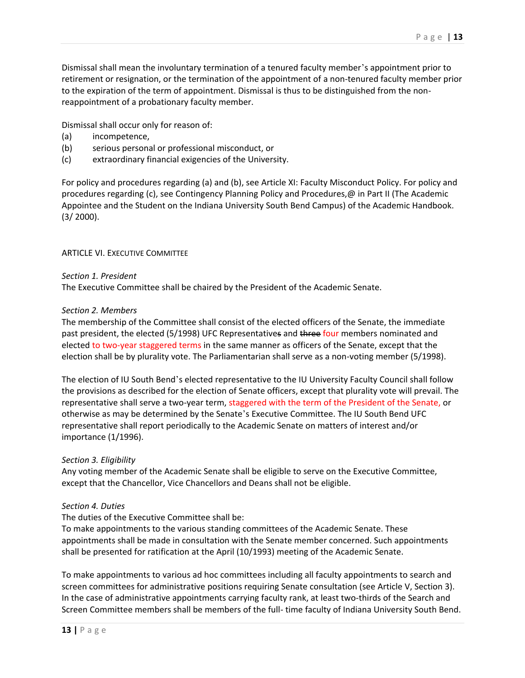Dismissal shall mean the involuntary termination of a tenured faculty member's appointment prior to retirement or resignation, or the termination of the appointment of a non-tenured faculty member prior to the expiration of the term of appointment. Dismissal is thus to be distinguished from the nonreappointment of a probationary faculty member.

Dismissal shall occur only for reason of:

- (a) incompetence,
- (b) serious personal or professional misconduct, or
- (c) extraordinary financial exigencies of the University.

For policy and procedures regarding (a) and (b), see Article XI: Faculty Misconduct Policy. For policy and procedures regarding (c), see Contingency Planning Policy and Procedures,@ in Part II (The Academic Appointee and the Student on the Indiana University South Bend Campus) of the Academic Handbook. (3/ 2000).

#### ARTICLE VI. EXECUTIVE COMMITTEE

#### *Section 1. President*

The Executive Committee shall be chaired by the President of the Academic Senate.

#### *Section 2. Members*

The membership of the Committee shall consist of the elected officers of the Senate, the immediate past president, the elected (5/1998) UFC Representatives and three four members nominated and elected to two-year staggered terms in the same manner as officers of the Senate, except that the election shall be by plurality vote. The Parliamentarian shall serve as a non-voting member (5/1998).

The election of IU South Bend's elected representative to the IU University Faculty Council shall follow the provisions as described for the election of Senate officers, except that plurality vote will prevail. The representative shall serve a two-year term, staggered with the term of the President of the Senate, or otherwise as may be determined by the Senate's Executive Committee. The IU South Bend UFC representative shall report periodically to the Academic Senate on matters of interest and/or importance (1/1996).

#### *Section 3. Eligibility*

Any voting member of the Academic Senate shall be eligible to serve on the Executive Committee, except that the Chancellor, Vice Chancellors and Deans shall not be eligible.

#### *Section 4. Duties*

The duties of the Executive Committee shall be:

To make appointments to the various standing committees of the Academic Senate. These appointments shall be made in consultation with the Senate member concerned. Such appointments shall be presented for ratification at the April (10/1993) meeting of the Academic Senate.

To make appointments to various ad hoc committees including all faculty appointments to search and screen committees for administrative positions requiring Senate consultation (see Article V, Section 3). In the case of administrative appointments carrying faculty rank, at least two-thirds of the Search and Screen Committee members shall be members of the full- time faculty of Indiana University South Bend.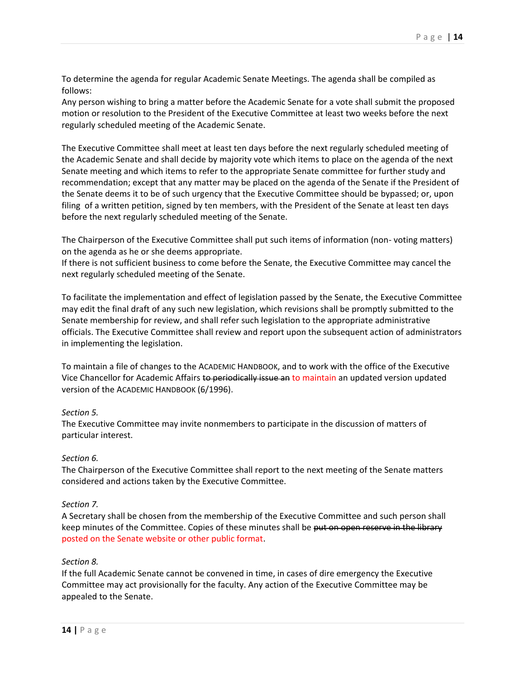To determine the agenda for regular Academic Senate Meetings. The agenda shall be compiled as follows:

Any person wishing to bring a matter before the Academic Senate for a vote shall submit the proposed motion or resolution to the President of the Executive Committee at least two weeks before the next regularly scheduled meeting of the Academic Senate.

The Executive Committee shall meet at least ten days before the next regularly scheduled meeting of the Academic Senate and shall decide by majority vote which items to place on the agenda of the next Senate meeting and which items to refer to the appropriate Senate committee for further study and recommendation; except that any matter may be placed on the agenda of the Senate if the President of the Senate deems it to be of such urgency that the Executive Committee should be bypassed; or, upon filing of a written petition, signed by ten members, with the President of the Senate at least ten days before the next regularly scheduled meeting of the Senate.

The Chairperson of the Executive Committee shall put such items of information (non- voting matters) on the agenda as he or she deems appropriate.

If there is not sufficient business to come before the Senate, the Executive Committee may cancel the next regularly scheduled meeting of the Senate.

To facilitate the implementation and effect of legislation passed by the Senate, the Executive Committee may edit the final draft of any such new legislation, which revisions shall be promptly submitted to the Senate membership for review, and shall refer such legislation to the appropriate administrative officials. The Executive Committee shall review and report upon the subsequent action of administrators in implementing the legislation.

To maintain a file of changes to the ACADEMIC HANDBOOK, and to work with the office of the Executive Vice Chancellor for Academic Affairs to periodically issue an to maintain an updated version updated version of the ACADEMIC HANDBOOK (6/1996).

#### *Section 5.*

The Executive Committee may invite nonmembers to participate in the discussion of matters of particular interest.

## *Section 6.*

The Chairperson of the Executive Committee shall report to the next meeting of the Senate matters considered and actions taken by the Executive Committee.

#### *Section 7.*

A Secretary shall be chosen from the membership of the Executive Committee and such person shall keep minutes of the Committee. Copies of these minutes shall be put on open reserve in the library posted on the Senate website or other public format.

#### *Section 8.*

If the full Academic Senate cannot be convened in time, in cases of dire emergency the Executive Committee may act provisionally for the faculty. Any action of the Executive Committee may be appealed to the Senate.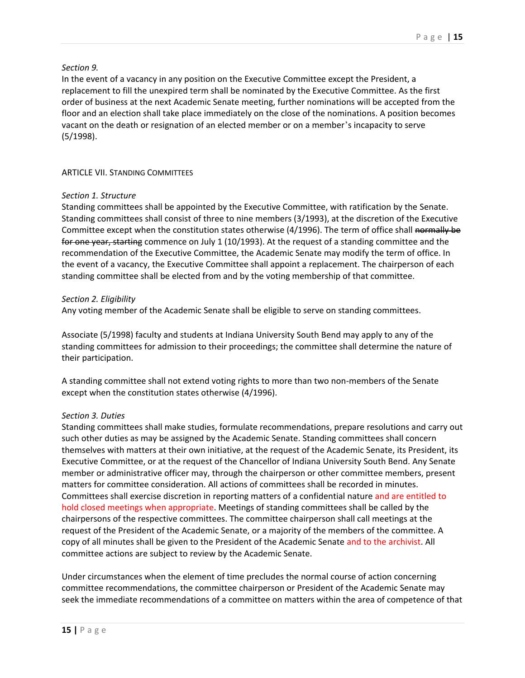### *Section 9.*

In the event of a vacancy in any position on the Executive Committee except the President, a replacement to fill the unexpired term shall be nominated by the Executive Committee. As the first order of business at the next Academic Senate meeting, further nominations will be accepted from the floor and an election shall take place immediately on the close of the nominations. A position becomes vacant on the death or resignation of an elected member or on a member's incapacity to serve (5/1998).

#### ARTICLE VII. STANDING COMMITTEES

#### *Section 1. Structure*

Standing committees shall be appointed by the Executive Committee, with ratification by the Senate. Standing committees shall consist of three to nine members (3/1993), at the discretion of the Executive Committee except when the constitution states otherwise (4/1996). The term of office shall normally be for one year, starting commence on July 1 (10/1993). At the request of a standing committee and the recommendation of the Executive Committee, the Academic Senate may modify the term of office. In the event of a vacancy, the Executive Committee shall appoint a replacement. The chairperson of each standing committee shall be elected from and by the voting membership of that committee.

#### *Section 2. Eligibility*

Any voting member of the Academic Senate shall be eligible to serve on standing committees.

Associate (5/1998) faculty and students at Indiana University South Bend may apply to any of the standing committees for admission to their proceedings; the committee shall determine the nature of their participation.

A standing committee shall not extend voting rights to more than two non-members of the Senate except when the constitution states otherwise (4/1996).

#### *Section 3. Duties*

Standing committees shall make studies, formulate recommendations, prepare resolutions and carry out such other duties as may be assigned by the Academic Senate. Standing committees shall concern themselves with matters at their own initiative, at the request of the Academic Senate, its President, its Executive Committee, or at the request of the Chancellor of Indiana University South Bend. Any Senate member or administrative officer may, through the chairperson or other committee members, present matters for committee consideration. All actions of committees shall be recorded in minutes. Committees shall exercise discretion in reporting matters of a confidential nature and are entitled to hold closed meetings when appropriate. Meetings of standing committees shall be called by the chairpersons of the respective committees. The committee chairperson shall call meetings at the request of the President of the Academic Senate, or a majority of the members of the committee. A copy of all minutes shall be given to the President of the Academic Senate and to the archivist. All committee actions are subject to review by the Academic Senate.

Under circumstances when the element of time precludes the normal course of action concerning committee recommendations, the committee chairperson or President of the Academic Senate may seek the immediate recommendations of a committee on matters within the area of competence of that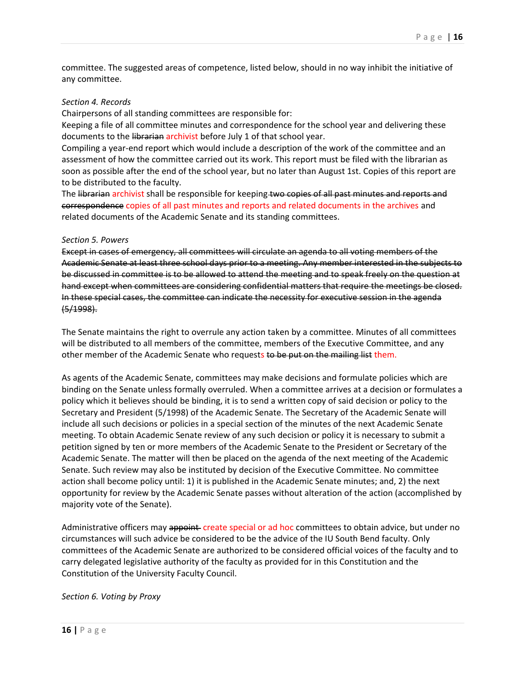committee. The suggested areas of competence, listed below, should in no way inhibit the initiative of any committee.

#### *Section 4. Records*

Chairpersons of all standing committees are responsible for:

Keeping a file of all committee minutes and correspondence for the school year and delivering these documents to the librarian archivist before July 1 of that school year.

Compiling a year-end report which would include a description of the work of the committee and an assessment of how the committee carried out its work. This report must be filed with the librarian as soon as possible after the end of the school year, but no later than August 1st. Copies of this report are to be distributed to the faculty.

The librarian archivist shall be responsible for keeping two copies of all past minutes and reports and correspondence copies of all past minutes and reports and related documents in the archives and related documents of the Academic Senate and its standing committees.

#### *Section 5. Powers*

Except in cases of emergency, all committees will circulate an agenda to all voting members of the Academic Senate at least three school days prior to a meeting. Any member interested in the subjects to be discussed in committee is to be allowed to attend the meeting and to speak freely on the question at hand except when committees are considering confidential matters that require the meetings be closed. In these special cases, the committee can indicate the necessity for executive session in the agenda (5/1998).

The Senate maintains the right to overrule any action taken by a committee. Minutes of all committees will be distributed to all members of the committee, members of the Executive Committee, and any other member of the Academic Senate who requests to be put on the mailing list them.

As agents of the Academic Senate, committees may make decisions and formulate policies which are binding on the Senate unless formally overruled. When a committee arrives at a decision or formulates a policy which it believes should be binding, it is to send a written copy of said decision or policy to the Secretary and President (5/1998) of the Academic Senate. The Secretary of the Academic Senate will include all such decisions or policies in a special section of the minutes of the next Academic Senate meeting. To obtain Academic Senate review of any such decision or policy it is necessary to submit a petition signed by ten or more members of the Academic Senate to the President or Secretary of the Academic Senate. The matter will then be placed on the agenda of the next meeting of the Academic Senate. Such review may also be instituted by decision of the Executive Committee. No committee action shall become policy until: 1) it is published in the Academic Senate minutes; and, 2) the next opportunity for review by the Academic Senate passes without alteration of the action (accomplished by majority vote of the Senate).

Administrative officers may appoint create special or ad hoc committees to obtain advice, but under no circumstances will such advice be considered to be the advice of the IU South Bend faculty. Only committees of the Academic Senate are authorized to be considered official voices of the faculty and to carry delegated legislative authority of the faculty as provided for in this Constitution and the Constitution of the University Faculty Council.

#### *Section 6. Voting by Proxy*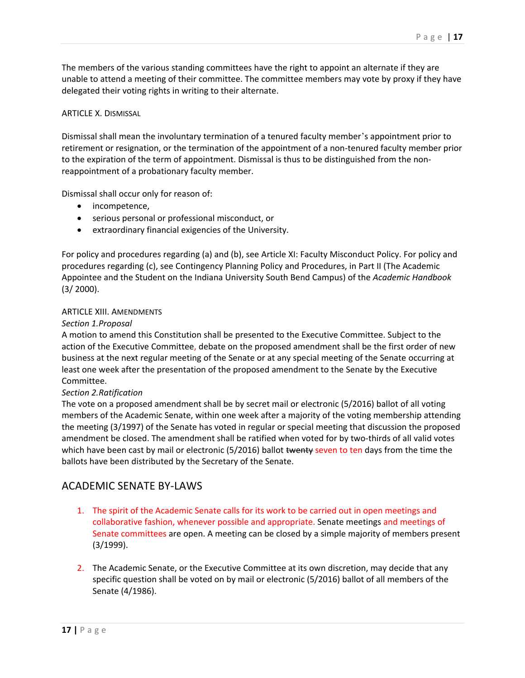The members of the various standing committees have the right to appoint an alternate if they are unable to attend a meeting of their committee. The committee members may vote by proxy if they have delegated their voting rights in writing to their alternate.

#### ARTICLE X. DISMISSAL

Dismissal shall mean the involuntary termination of a tenured faculty member's appointment prior to retirement or resignation, or the termination of the appointment of a non-tenured faculty member prior to the expiration of the term of appointment. Dismissal is thus to be distinguished from the nonreappointment of a probationary faculty member.

Dismissal shall occur only for reason of:

- incompetence,
- serious personal or professional misconduct, or
- extraordinary financial exigencies of the University.

For policy and procedures regarding (a) and (b), see Article XI: Faculty Misconduct Policy. For policy and procedures regarding (c), see Contingency Planning Policy and Procedures, in Part II (The Academic Appointee and the Student on the Indiana University South Bend Campus) of the *Academic Handbook* (3/ 2000).

#### ARTICLE XIII. AMENDMENTS

#### *Section 1.Proposal*

A motion to amend this Constitution shall be presented to the Executive Committee. Subject to the action of the Executive Committee, debate on the proposed amendment shall be the first order of new business at the next regular meeting of the Senate or at any special meeting of the Senate occurring at least one week after the presentation of the proposed amendment to the Senate by the Executive Committee.

#### *Section 2.Ratification*

The vote on a proposed amendment shall be by secret mail or electronic (5/2016) ballot of all voting members of the Academic Senate, within one week after a majority of the voting membership attending the meeting (3/1997) of the Senate has voted in regular or special meeting that discussion the proposed amendment be closed. The amendment shall be ratified when voted for by two-thirds of all valid votes which have been cast by mail or electronic (5/2016) ballot twenty seven to ten days from the time the ballots have been distributed by the Secretary of the Senate.

## ACADEMIC SENATE BY-LAWS

- 1. The spirit of the Academic Senate calls for its work to be carried out in open meetings and collaborative fashion, whenever possible and appropriate. Senate meetings and meetings of Senate committees are open. A meeting can be closed by a simple majority of members present (3/1999).
- 2. The Academic Senate, or the Executive Committee at its own discretion, may decide that any specific question shall be voted on by mail or electronic (5/2016) ballot of all members of the Senate (4/1986).